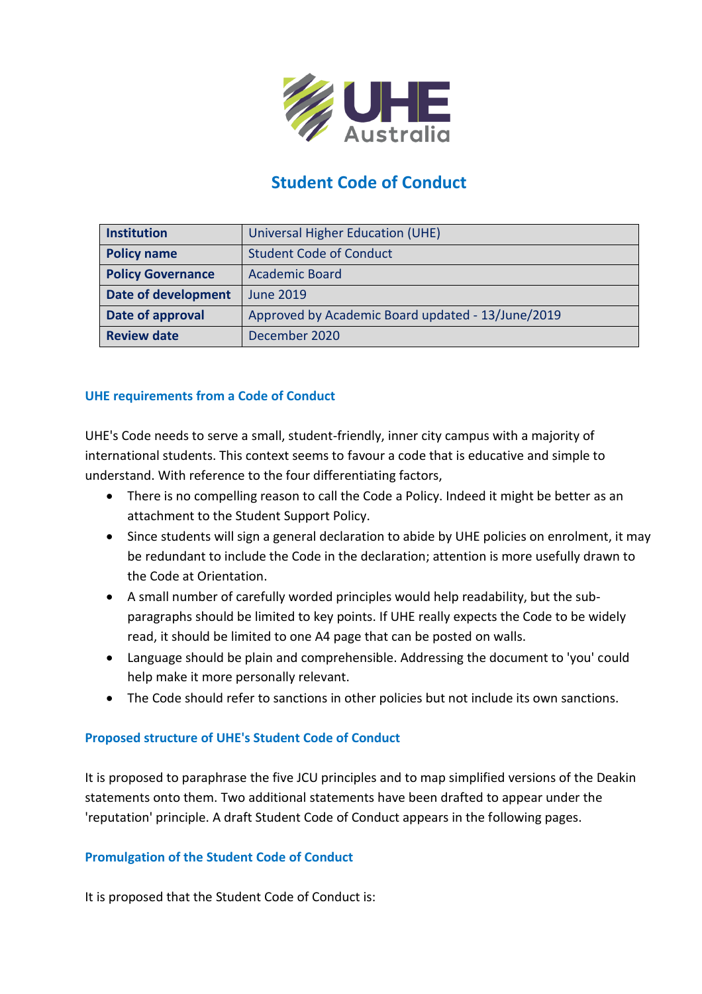

# **Student Code of Conduct**

| <b>Institution</b>         | Universal Higher Education (UHE)                  |  |
|----------------------------|---------------------------------------------------|--|
| <b>Policy name</b>         | <b>Student Code of Conduct</b>                    |  |
| <b>Policy Governance</b>   | <b>Academic Board</b>                             |  |
| <b>Date of development</b> | <b>June 2019</b>                                  |  |
| Date of approval           | Approved by Academic Board updated - 13/June/2019 |  |
| <b>Review date</b>         | December 2020                                     |  |

#### **UHE requirements from a Code of Conduct**

UHE's Code needs to serve a small, student-friendly, inner city campus with a majority of international students. This context seems to favour a code that is educative and simple to understand. With reference to the four differentiating factors,

- There is no compelling reason to call the Code a Policy. Indeed it might be better as an attachment to the Student Support Policy.
- Since students will sign a general declaration to abide by UHE policies on enrolment, it may be redundant to include the Code in the declaration; attention is more usefully drawn to the Code at Orientation.
- A small number of carefully worded principles would help readability, but the subparagraphs should be limited to key points. If UHE really expects the Code to be widely read, it should be limited to one A4 page that can be posted on walls.
- Language should be plain and comprehensible. Addressing the document to 'you' could help make it more personally relevant.
- The Code should refer to sanctions in other policies but not include its own sanctions.

# **Proposed structure of UHE's Student Code of Conduct**

It is proposed to paraphrase the five JCU principles and to map simplified versions of the Deakin statements onto them. Two additional statements have been drafted to appear under the 'reputation' principle. A draft Student Code of Conduct appears in the following pages.

#### **Promulgation of the Student Code of Conduct**

It is proposed that the Student Code of Conduct is: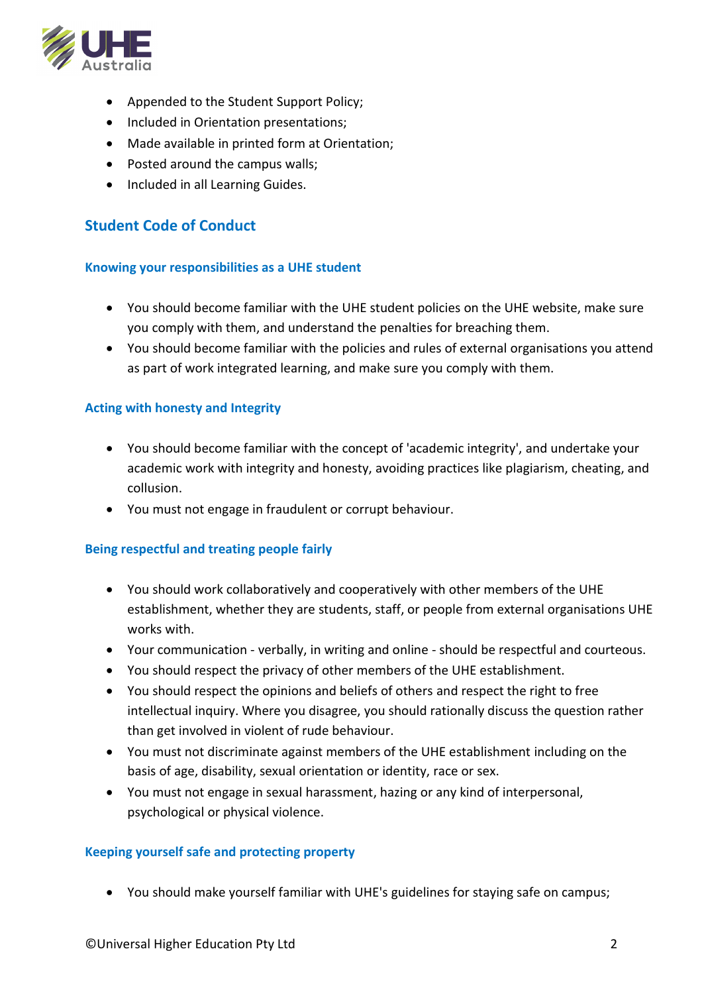

- Appended to the Student Support Policy;
- Included in Orientation presentations;
- Made available in printed form at Orientation;
- Posted around the campus walls;
- Included in all Learning Guides.

# **Student Code of Conduct**

#### **Knowing your responsibilities as a UHE student**

- You should become familiar with the UHE student policies on the UHE website, make sure you comply with them, and understand the penalties for breaching them.
- You should become familiar with the policies and rules of external organisations you attend as part of work integrated learning, and make sure you comply with them.

## **Acting with honesty and Integrity**

- You should become familiar with the concept of 'academic integrity', and undertake your academic work with integrity and honesty, avoiding practices like plagiarism, cheating, and collusion.
- You must not engage in fraudulent or corrupt behaviour.

#### **Being respectful and treating people fairly**

- You should work collaboratively and cooperatively with other members of the UHE establishment, whether they are students, staff, or people from external organisations UHE works with.
- Your communication verbally, in writing and online should be respectful and courteous.
- You should respect the privacy of other members of the UHE establishment.
- You should respect the opinions and beliefs of others and respect the right to free intellectual inquiry. Where you disagree, you should rationally discuss the question rather than get involved in violent of rude behaviour.
- You must not discriminate against members of the UHE establishment including on the basis of age, disability, sexual orientation or identity, race or sex.
- You must not engage in sexual harassment, hazing or any kind of interpersonal, psychological or physical violence.

#### **Keeping yourself safe and protecting property**

• You should make yourself familiar with UHE's guidelines for staying safe on campus;